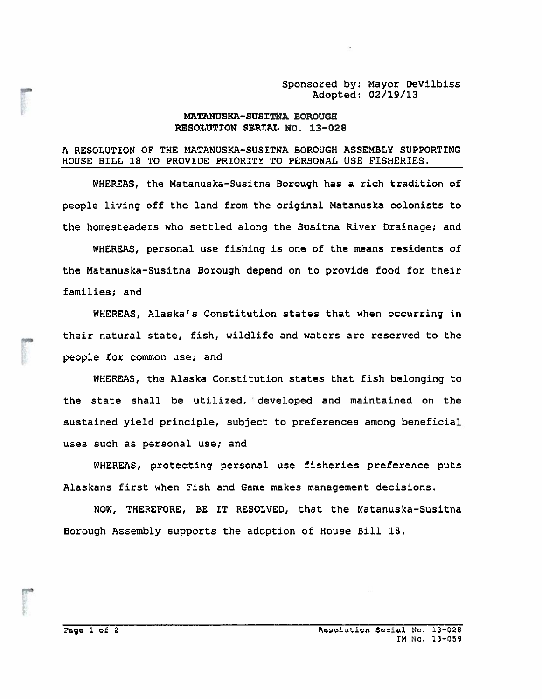## Sponsored by: Mayor DeVilbiss Adopted: 02/19/13

## NATANUSKA-SUS IThA BOROUGH RESOLUTION SERIAL NO. 13-028

## A RESOLUTION OF THE MATANUSKA—SUSITNA BOROUGH ASSEMBLY SUPPORTING HOUSE BILL 18 TO PROVIDE PRIORITY TO PERSONAL USE FISHERIES.

WHEREAS, the Matanuska—Susitna Borough has <sup>a</sup> rich tradition of people living off the land from the original Matanuska colonists to the homesteaders who settled along the Susitna River Drainage; and Sponsored by: Mayor DeVilbiss<br>
MATANUSKA-SUSITNA BOROUGH: 02/19/13<br>
MATANUSKA-SUSITNA BOROUGH ASSEMBLY SUPPORTING<br>
MCUSE BILL 18 TO PROVIDE PRIORITY TO PERSONAL USE FISHERIES.<br>
WHEREAS, the Matanuska-Susitna Borough has a

WHEREAS, personal use fishing is one of the means residents of the Matanuska—Susitna Borough depend on to provide food for their families; and

their natural state, fish, wildlife and waters are reserved to the people for common use; and

WHEREAS, the Alaska Constitution states that fish belonging to the state shall be utilized, developed and maintained on the sustained yield principle, subject to preferences among beneficial uses such as personal use; and

WHEREAS, protecting personal use fisheries preference puts Alaskans first when Fish and Game makes managemen<sup>t</sup> decisions.

NOW, THEREFORE, BE IT RESOLVED, that the Matanuska—Susitna Borough Assembly supports the adoption of House Bill 18.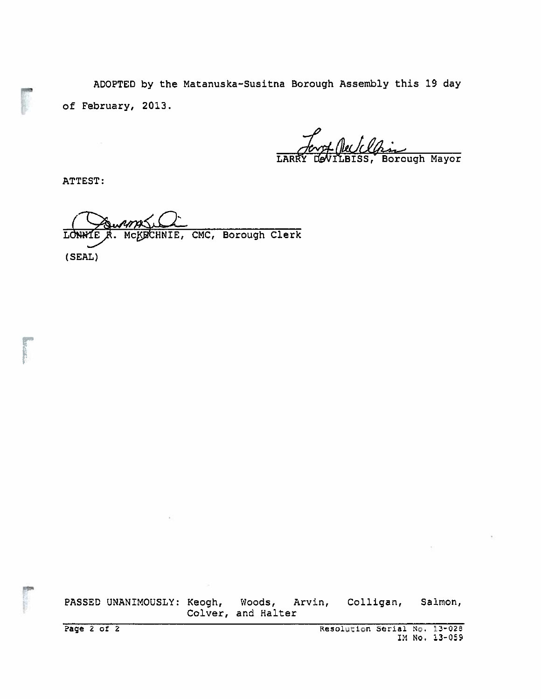ADOPTED by the Matanuska-Susitna Borough Assembly this 19 day of February, 2013.

1 Neetcla Borough Mayor

ATTEST:

CMC, Borough Clerk LONNIE CHNIE,  $(SEAL)$ 

PASSED UNANIMOUSLY: Keogh, Woods, Arvin, Colligan, Salmon, Colver, and Halter

Page  $2$  of  $2$